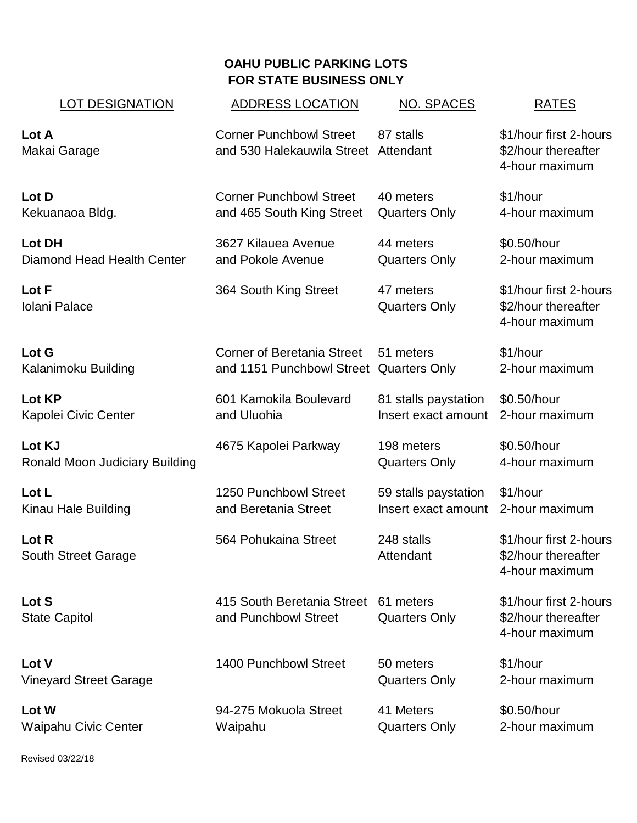## **OAHU PUBLIC PARKING LOTS FOR STATE BUSINESS ONLY**

| <b>LOT DESIGNATION</b>                | <b>ADDRESS LOCATION</b>                                                | <b>NO. SPACES</b>                 | <b>RATES</b>                                                    |
|---------------------------------------|------------------------------------------------------------------------|-----------------------------------|-----------------------------------------------------------------|
| Lot A<br>Makai Garage                 | <b>Corner Punchbowl Street</b><br>and 530 Halekauwila Street Attendant | 87 stalls                         | \$1/hour first 2-hours<br>\$2/hour thereafter<br>4-hour maximum |
| Lot D                                 | <b>Corner Punchbowl Street</b>                                         | 40 meters                         | \$1/hour                                                        |
| Kekuanaoa Bldg.                       | and 465 South King Street                                              | <b>Quarters Only</b>              | 4-hour maximum                                                  |
| <b>Lot DH</b>                         | 3627 Kilauea Avenue                                                    | 44 meters                         | \$0.50/hour                                                     |
| Diamond Head Health Center            | and Pokole Avenue                                                      | <b>Quarters Only</b>              | 2-hour maximum                                                  |
| Lot F<br>Iolani Palace                | 364 South King Street                                                  | 47 meters<br><b>Quarters Only</b> | \$1/hour first 2-hours<br>\$2/hour thereafter<br>4-hour maximum |
| Lot G                                 | <b>Corner of Beretania Street</b>                                      | 51 meters                         | \$1/hour                                                        |
| Kalanimoku Building                   | and 1151 Punchbowl Street Quarters Only                                |                                   | 2-hour maximum                                                  |
| Lot KP                                | 601 Kamokila Boulevard                                                 | 81 stalls paystation              | \$0.50/hour                                                     |
| Kapolei Civic Center                  | and Uluohia                                                            | Insert exact amount               | 2-hour maximum                                                  |
| Lot KJ                                | 4675 Kapolei Parkway                                                   | 198 meters                        | \$0.50/hour                                                     |
| <b>Ronald Moon Judiciary Building</b> |                                                                        | <b>Quarters Only</b>              | 4-hour maximum                                                  |
| Lot L                                 | 1250 Punchbowl Street                                                  | 59 stalls paystation              | \$1/hour                                                        |
| Kinau Hale Building                   | and Beretania Street                                                   | Insert exact amount               | 2-hour maximum                                                  |
| Lot R<br><b>South Street Garage</b>   | 564 Pohukaina Street                                                   | 248 stalls<br>Attendant           | \$1/hour first 2-hours<br>\$2/hour thereafter<br>4-hour maximum |
| Lot S<br><b>State Capitol</b>         | 415 South Beretania Street<br>and Punchbowl Street                     | 61 meters<br><b>Quarters Only</b> | \$1/hour first 2-hours<br>\$2/hour thereafter<br>4-hour maximum |
| Lot V                                 | 1400 Punchbowl Street                                                  | 50 meters                         | \$1/hour                                                        |
| <b>Vineyard Street Garage</b>         |                                                                        | <b>Quarters Only</b>              | 2-hour maximum                                                  |
| Lot W                                 | 94-275 Mokuola Street                                                  | 41 Meters                         | \$0.50/hour                                                     |
| <b>Waipahu Civic Center</b>           | Waipahu                                                                | <b>Quarters Only</b>              | 2-hour maximum                                                  |

Revised 03/22/18